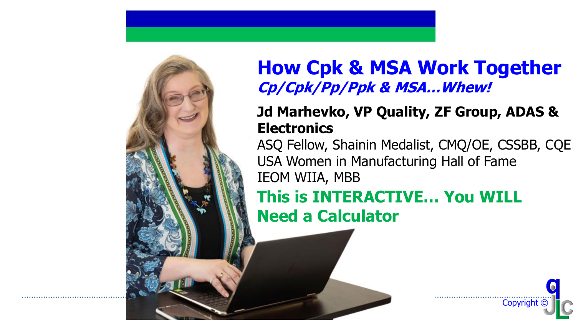### **How Cpk & MSA Work Together Cp/Cpk/Pp/Ppk & MSA…Whew!**

#### **Jd Marhevko, VP Quality, ZF Group, ADAS & Electronics**

ASQ Fellow, Shainin Medalist, CMQ/OE, CSSBB, CQE USA Women in Manufacturing Hall of Fame IEOM WIIA, MBB

**This is INTERACTIVE… You WILL Need a Calculator**

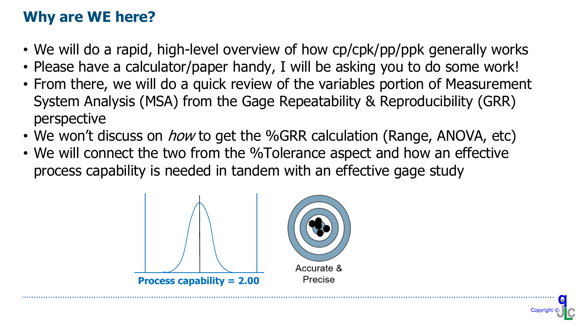### **Why are WE here?**

- We will do a rapid, high-level overview of how cp/cpk/pp/ppk generally works
- Please have a calculator/paper handy, I will be asking you to do some work!
- From there, we will do a quick review of the variables portion of Measurement System Analysis (MSA) from the Gage Repeatability & Reproducibility (GRR) perspective
- We won't discuss on *how* to get the %GRR calculation (Range, ANOVA, etc)
- We will connect the two from the %Tolerance aspect and how an effective process capability is needed in tandem with an effective gage study

© ZF Friedrichshafen AG

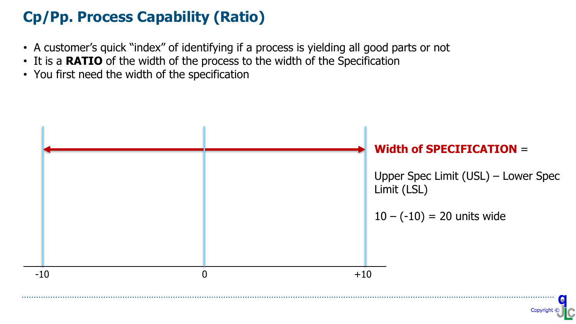#### **Cp/Pp. Process Capability (Ratio)**

- A customer's quick "index" of identifying if a process is yielding all good parts or not
- It is a **RATIO** of the width of the process to the width of the Specification
- You first need the width of the specification

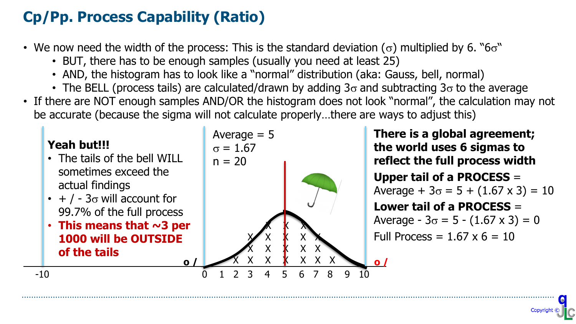### **Cp/Pp. Process Capability (Ratio)**

- We now need the width of the process: This is the standard deviation ( $\sigma$ ) multiplied by 6. " $6\sigma$ "
	- BUT, there has to be enough samples (usually you need at least 25)
	- AND, the histogram has to look like a "normal" distribution (aka: Gauss, bell, normal)
	- The BELL (process tails) are calculated/drawn by adding  $3\sigma$  and subtracting  $3\sigma$  to the average
- If there are NOT enough samples AND/OR the histogram does not look "normal", the calculation may not be accurate (because the sigma will not calculate properly…there are ways to adjust this)

#### **Yeah but!!!**

- The tails of the bell WILL sometimes exceed the actual findings
- $\cdot$  + / 3 $\sigma$  will account for 99.7% of the full process
- **This means that ~3 per 1000 will be OUTSIDE of the tails**



**There is a global agreement; the world uses 6 sigmas to reflect the full process width Upper tail of a PROCESS** = Average +  $3\sigma$  = 5 + (1.67 x 3) = 10 **Lower tail of a PROCESS** = Average -  $3\sigma = 5$  -  $(1.67 \times 3) = 0$ Full Process =  $1.67 \times 6 = 10$ 

© ZF Friedrichshafen AG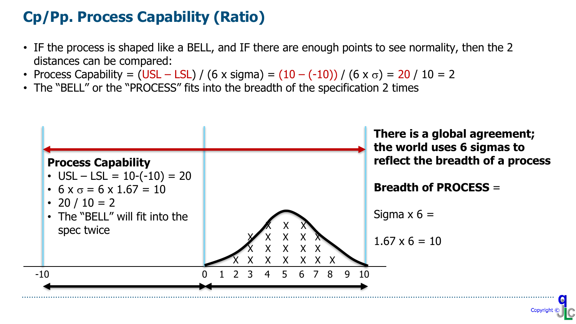### **Cp/Pp. Process Capability (Ratio)**

- IF the process is shaped like a BELL, and IF there are enough points to see normality, then the 2 distances can be compared:
- Process Capability = (USL LSL) / (6 x sigma) =  $(10 (-10))$  / (6 x  $\sigma$ ) = 20 / 10 = 2
- The "BELL" or the "PROCESS" fits into the breadth of the specification 2 times

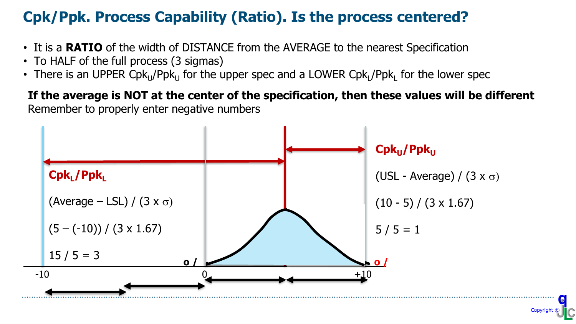#### **Cpk/Ppk. Process Capability (Ratio). Is the process centered?**

- It is a **RATIO** of the width of DISTANCE from the AVERAGE to the nearest Specification
- To HALF of the full process (3 sigmas)
- There is an UPPER Cpk<sub>u</sub>/Ppk<sub>u</sub> for the upper spec and a LOWER Cpk<sub>L</sub>/Ppk<sub>L</sub> for the lower spec

#### **If the average is NOT at the center of the specification, then these values will be different** Remember to properly enter negative numbers

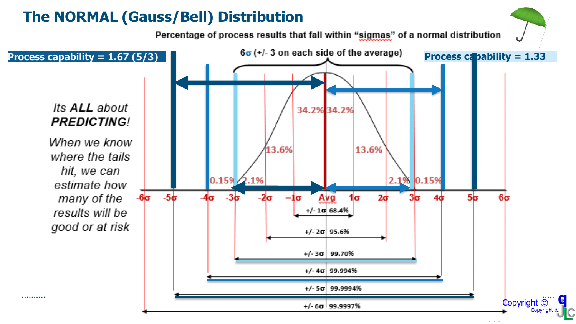#### **The NORMAL (Gauss/Bell) Distribution**

Percentage of process results that fall within "sigmas" of a normal distribution

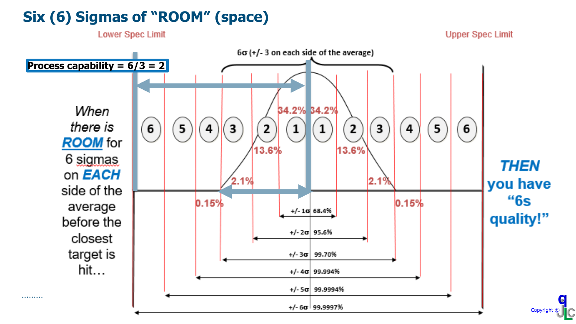#### **Six (6) Sigmas of "ROOM" (space)**

**Upper Spec Limit** 



**Lower Spec Limit**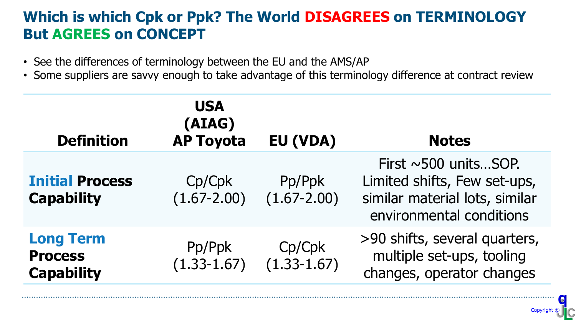#### **Which is which Cpk or Ppk? The World DISAGREES on TERMINOLOGY But AGREES on CONCEPT**

- See the differences of terminology between the EU and the AMS/AP
- Some suppliers are savvy enough to take advantage of this terminology difference at contract review

| <b>Definition</b>                                       | <b>USA</b><br>(AIAG)<br><b>AP Toyota</b> | EU (VDA)                  | <b>Notes</b>                                                                                                             |
|---------------------------------------------------------|------------------------------------------|---------------------------|--------------------------------------------------------------------------------------------------------------------------|
| <b>Initial Process</b><br><b>Capability</b>             | Cp/Cpk<br>$(1.67 - 2.00)$                | Pp/Ppk<br>$(1.67 - 2.00)$ | First $\sim$ 500 unitsSOP.<br>Limited shifts, Few set-ups,<br>similar material lots, similar<br>environmental conditions |
| <b>Long Term</b><br><b>Process</b><br><b>Capability</b> | Pp/Ppk<br>$(1.33 - 1.67)$                | Cp/Cpk<br>$(1.33 - 1.67)$ | >90 shifts, several quarters,<br>multiple set-ups, tooling<br>changes, operator changes                                  |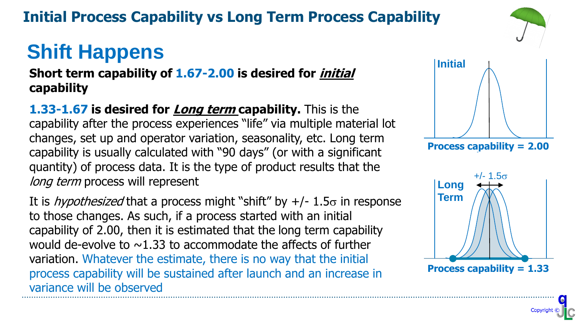### **Initial Process Capability vs Long Term Process Capability**

# **Shift Happens**

**Short term capability of 1.67-2.00 is desired for initial capability**

**1.33-1.67 is desired for Long term capability.** This is the capability after the process experiences "life" via multiple material lot changes, set up and operator variation, seasonality, etc. Long term capability is usually calculated with "90 days" (or with a significant quantity) of process data. It is the type of product results that the long term process will represent

It is *hypothesized* that a process might "shift" by  $+/- 1.5\sigma$  in response to those changes. As such, if a process started with an initial capability of 2.00, then it is estimated that the long term capability would de-evolve to  $\sim$ 1.33 to accommodate the affects of further variation. Whatever the estimate, there is no way that the initial process capability will be sustained after launch and an increase in variance will be observed



**Cpk = 2.0 Process capability = 2.00**



© ZF Friedrichshafen AG

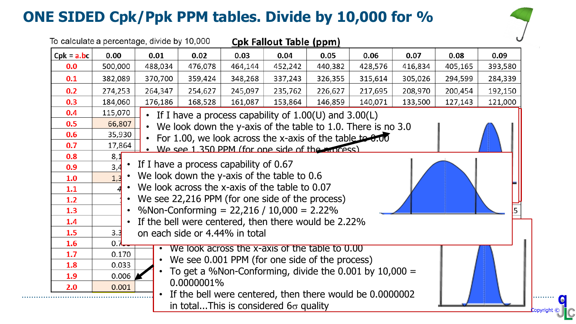### **ONE SIDED Cpk/Ppk PPM tables. Divide by 10,000 for %**

.........



| To calculate a percentage, divide by 10,000<br><b>Cpk Fallout Table (ppm)</b> |                                                                                                          |                                                                                                             |                                |         |                                                              |         |         |         |         |         |
|-------------------------------------------------------------------------------|----------------------------------------------------------------------------------------------------------|-------------------------------------------------------------------------------------------------------------|--------------------------------|---------|--------------------------------------------------------------|---------|---------|---------|---------|---------|
| $Cpk = a(bc)$                                                                 | 0.00                                                                                                     | 0.01                                                                                                        | 0.02                           | 0.03    | 0.04                                                         | 0.05    | 0.06    | 0.07    | 0.08    | 0.09    |
| 0.0                                                                           | 500,000                                                                                                  | 488,034                                                                                                     | 476,078                        | 464,144 | 452,242                                                      | 440,382 | 428,576 | 416,834 | 405,165 | 393,580 |
| 0.1                                                                           | 382,089                                                                                                  | 370,700                                                                                                     | 359,424                        | 348,268 | 337,243                                                      | 326,355 | 315,614 | 305,026 | 294,599 | 284,339 |
| 0.2                                                                           | 274,253                                                                                                  | 264,347                                                                                                     | 254,627                        | 245,097 | 235,762                                                      | 226,627 | 217,695 | 208,970 | 200,454 | 192,150 |
| 0.3                                                                           | 184,060                                                                                                  | 176,186                                                                                                     | 168,528                        | 161,087 | 153,864                                                      | 146,859 | 140,071 | 133,500 | 127,143 | 121,000 |
| 0.4                                                                           | 115,070                                                                                                  |                                                                                                             |                                |         | If I have a process capability of $1.00(U)$ and $3.00(L)$    |         |         |         |         |         |
| 0.5                                                                           | 66,807                                                                                                   | $\bullet$                                                                                                   |                                |         | We look down the y-axis of the table to 1.0. There is no 3.0 |         |         |         |         |         |
| 0.6                                                                           | 35,930                                                                                                   |                                                                                                             |                                |         |                                                              |         |         |         |         |         |
| 0.7                                                                           | 17,864                                                                                                   | For 1.00, we look across the x-axis of the table to $0.00$<br>We see 1,350 PPM (for one side of the moress) |                                |         |                                                              |         |         |         |         |         |
| 0.8                                                                           | 8,1                                                                                                      |                                                                                                             |                                |         |                                                              |         |         |         |         |         |
| 0.9                                                                           | • If I have a process capability of 0.67<br>$\overline{3,4}$                                             |                                                                                                             |                                |         |                                                              |         |         |         |         |         |
| 1.0                                                                           | We look down the y-axis of the table to 0.6<br>1,3                                                       |                                                                                                             |                                |         |                                                              |         |         |         |         |         |
| 1.1                                                                           | We look across the x-axis of the table to 0.07                                                           |                                                                                                             |                                |         |                                                              |         |         |         |         |         |
| 1.2                                                                           |                                                                                                          | We see 22,216 PPM (for one side of the process)                                                             |                                |         |                                                              |         |         |         |         |         |
| 1.3                                                                           | %Non-Conforming = $22,216 / 10,000 = 2.22%$                                                              |                                                                                                             |                                |         |                                                              |         |         |         |         |         |
| 1.4                                                                           |                                                                                                          | If the bell were centered, then there would be 2.22%                                                        |                                |         |                                                              |         |         |         |         |         |
| 1.5<br>1.6                                                                    | 3.3<br>0.7                                                                                               |                                                                                                             | on each side or 4.44% in total |         |                                                              |         |         |         |         |         |
| 1.7                                                                           | 0.170                                                                                                    |                                                                                                             |                                |         | We look across the x-axis of the table to 0.00               |         |         |         |         |         |
| 1.8                                                                           | 0.033                                                                                                    | $\bullet$                                                                                                   |                                |         | We see 0.001 PPM (for one side of the process)               |         |         |         |         |         |
| 1.9                                                                           | 0.006                                                                                                    |                                                                                                             |                                |         | To get a %Non-Conforming, divide the $0.001$ by $10,000 =$   |         |         |         |         |         |
| 2.0                                                                           | 0.001                                                                                                    |                                                                                                             | 0.0000001%                     |         |                                                              |         |         |         |         |         |
|                                                                               | If the bell were centered, then there would be 0.0000002<br>in totalThis is considered $6\sigma$ quality |                                                                                                             |                                |         |                                                              |         |         |         |         |         |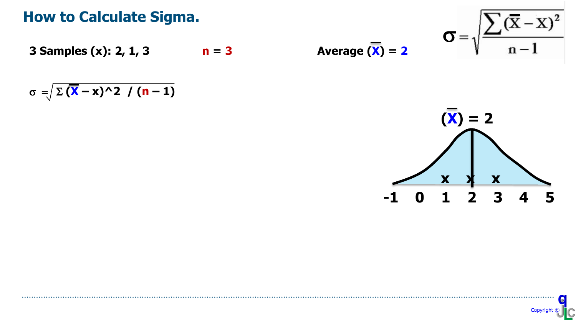#### **How to Calculate Sigma.**

**3 Samples (x): 2, 1, 3 n** = 3

$$
\sigma = \sqrt{\sum (\mathbf{X} - \mathbf{x})^2 \cdot 2 / (n-1)}
$$

 $\sigma =$ 

$$
Average (X) = 2
$$



$$
\begin{array}{c}\n\bullet \\
\hline\n\text{Copyright} & \text{C}\n\end{array}
$$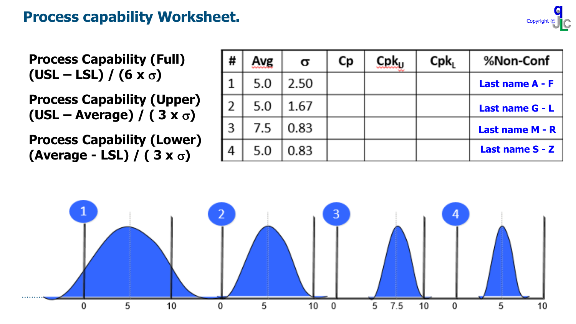#### **Process capability Worksheet.**

**Process Capability (Full)**  $(USL - LSL) / (6 x \sigma)$ 

**Process Capability (Upper) (USL – Average) / ( 3 x** s**)**

**Process Capability (Lower) (Average - LSL) / ( 3 x** s**)**

| # | Avg | σ    | Сp | $C$ p $k_{11}$ | Cpk <sub>1</sub> | %Non-Conf       |
|---|-----|------|----|----------------|------------------|-----------------|
|   | 5.0 | 2.50 |    |                |                  | Last name A - F |
|   | 5.0 | 1.67 |    |                |                  | Last name G - L |
|   | 7.5 | 0.83 |    |                |                  | Last name M - R |
|   | 5.0 | 0.83 |    |                |                  | Last name S - Z |

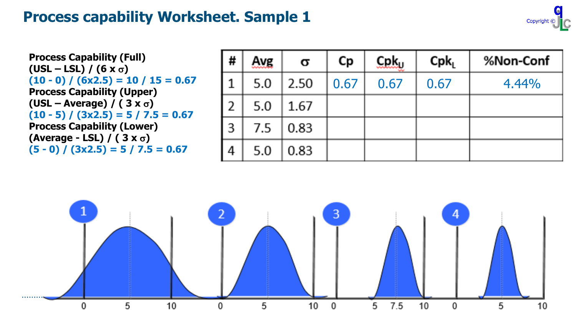

**Process Capability (Full)**  $(USL - LSL) / (6 \times \sigma)$ **(10 - 0) / (6x2.5) = 10 / 15 = 0.67 Process Capability (Upper)**  $(USL - Average) / (3 x \sigma)$ **(10 - 5) / (3x2.5) = 5 / 7.5 = 0.67 Process Capability (Lower) (Average - LSL) / ( 3 x** s**) (5 - 0) / (3x2.5) = 5 / 7.5 = 0.67**

| l # | Avg | Q    | Сp   | $C$ p $k_{U}$ | Cpk <sub>l</sub> | %Non-Conf |
|-----|-----|------|------|---------------|------------------|-----------|
| 1   | 5.0 | 2.50 | 0.67 | 0.67          | 0.67             | 4.44%     |
| l 2 | 5.0 | 1.67 |      |               |                  |           |
| Iз  | 7.5 | 0.83 |      |               |                  |           |
| l 4 | 5.0 | 0.83 |      |               |                  |           |

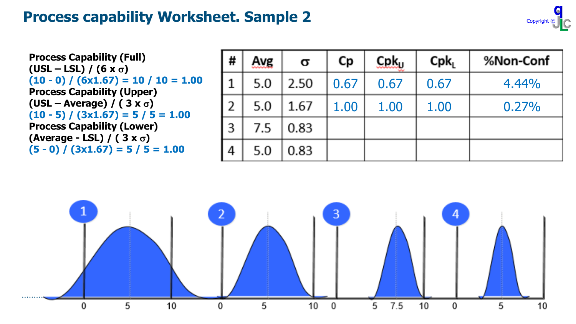

**Process Capability (Full)**  $(USL - LSL) / (6 \times \sigma)$  $(10 - 0) / (6x1.67) = 10 / 10 = 1.00$ **Process Capability (Upper)**  $(USL - Average) / (3 x \sigma)$  $(10 - 5) / (3x1.67) = 5 / 5 = 1.00$ **Process Capability (Lower) (Average - LSL) / ( 3 x** s**) (5 - 0) / (3x1.67) = 5 / 5 = 1.00**

| #   | Avg | σ    | Сp   | $C$ pk <sub>u</sub> | Cpk <sub>l</sub> | %Non-Conf |
|-----|-----|------|------|---------------------|------------------|-----------|
|     | 5.0 | 2.50 | 0.67 | 0.67                | 0.67             | 4.44%     |
| 2   | 5.0 | 1.67 | 1.00 | 1.00                | 1.00             | 0.27%     |
| l 3 | 7.5 | 0.83 |      |                     |                  |           |
| 4   | 5.0 | 0.83 |      |                     |                  |           |

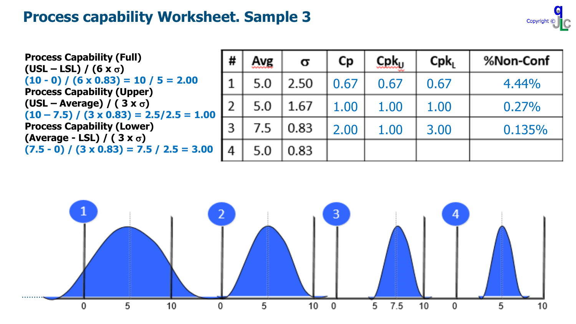

**Process Capability (Full)**  $(USL - LSL) / (6 x \sigma)$  $(10 - 0) / (6 \times 0.83) = 10 / 5 = 2.00$ **Process Capability (Upper)**  $(USL - Average) / (3 x \sigma)$  $(10 - 7.5) / (3 \times 0.83) = 2.5/2.5 = 1.00$ **Process Capability (Lower) (Average - LSL) / ( 3 x** s**) (7.5 - 0) / (3 x 0.83) = 7.5 / 2.5 = 3.00**

| # | Avg | Q    | Сp   | $C$ p $k_{\text{U}}$ | Cpk <sub>l</sub> | %Non-Conf |
|---|-----|------|------|----------------------|------------------|-----------|
|   | 5.0 | 2.50 | 0.67 | 0.67                 | 0.67             | 4.44%     |
| 2 | 5.0 | 1.67 | 1.00 | 1.00                 | 1.00             | 0.27%     |
| 3 | 7.5 | 0.83 | 2.00 | 1.00                 | 3.00             | 0.135%    |
| 4 | 5.0 | 0.83 |      |                      |                  |           |

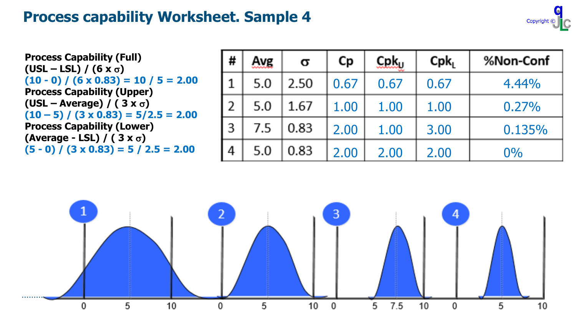

**Process Capability (Full)**  $(USL - LSL) / (6 \times \sigma)$  $(10 - 0) / (6 \times 0.83) = 10 / 5 = 2.00$ **Process Capability (Upper)**  $(USL - Average) / (3 x \sigma)$  $(10 - 5) / (3 \times 0.83) = 5/2.5 = 2.00$ **Process Capability (Lower) (Average - LSL) / ( 3 x** s**) (5 - 0) / (3 x 0.83) = 5 / 2.5 = 2.00**

| #           | Avg | Q    | Сp   | $C$ p $k_{U}$ | Cpk <sub>1</sub> | %Non-Conf |
|-------------|-----|------|------|---------------|------------------|-----------|
| $\mathbf 1$ | 5.0 | 2.50 | 0.67 | 0.67          | 0.67             | 4.44%     |
| l 2         | 5.0 | 1.67 | 1.00 | 1.00          | 1.00             | 0.27%     |
| I 3         | 7.5 | 0.83 | 2.00 | 1.00          | 3.00             | 0.135%    |
| l 4         | 5.0 | 0.83 | 2.00 | 2.00          | 2.00             | $0\%$     |

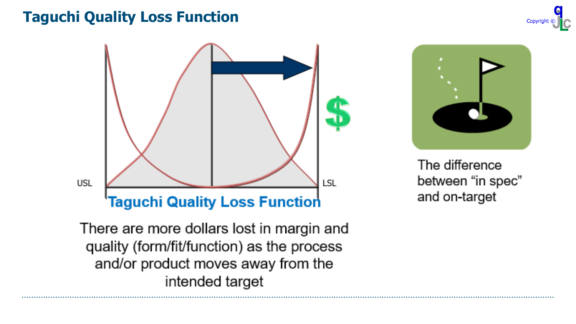#### **Taguchi Quality Loss Function**







The difference between "in spec" and on-target

There are more dollars lost in margin and quality (form/fit/function) as the process and/or product moves away from the intended target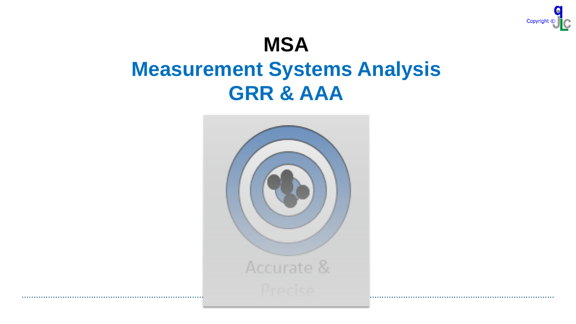

# **MSA Measurement Systems Analysis GRR & AAA**

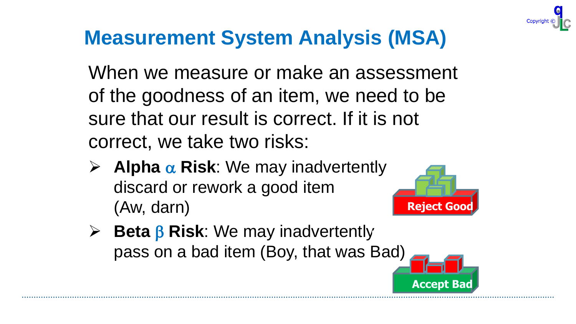# **Measurement System Analysis (MSA)**

When we measure or make an assessment of the goodness of an item, we need to be sure that our result is correct. If it is not correct, we take two risks:

 $\triangleright$  **Alpha**  $\alpha$  **Risk**: We may inadvertently discard or rework a good item (Aw, darn)



 $\triangleright$  **Beta**  $\beta$  **Risk**: We may inadvertently pass on a bad item (Boy, that was Bad)

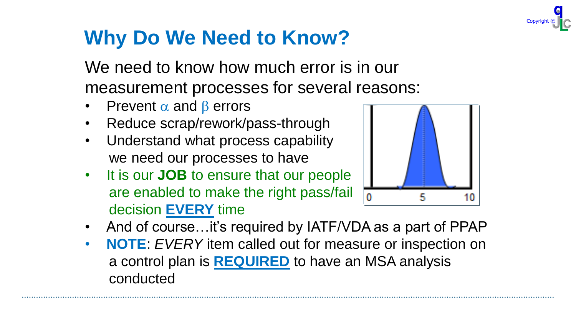

# **Why Do We Need to Know?**

We need to know how much error is in our measurement processes for several reasons:

- **Prevent**  $\alpha$  **and**  $\beta$  **errors**
- Reduce scrap/rework/pass-through
- Understand what process capability we need our processes to have
- It is our **JOB** to ensure that our people are enabled to make the right pass/fail decision **EVERY** time



- And of course...it's required by IATF/VDA as a part of PPAP
- **NOTE**: *EVERY* item called out for measure or inspection on a control plan is **REQUIRED** to have an MSA analysis conducted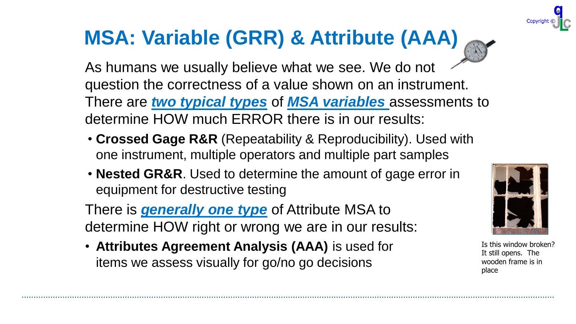# **MSA: Variable (GRR) & Attribute (AAA)**

As humans we usually believe what we see. We do not question the correctness of a value shown on an instrument. There are *two typical types* of *MSA variables* assessments to determine HOW much ERROR there is in our results:

- **Crossed Gage R&R** (Repeatability & Reproducibility). Used with one instrument, multiple operators and multiple part samples
- **Nested GR&R**. Used to determine the amount of gage error in equipment for destructive testing

There is *generally one type* of Attribute MSA to determine HOW right or wrong we are in our results:

• **Attributes Agreement Analysis (AAA)** is used for items we assess visually for go/no go decisions



Is this window broken? It still opens. The wooden frame is in place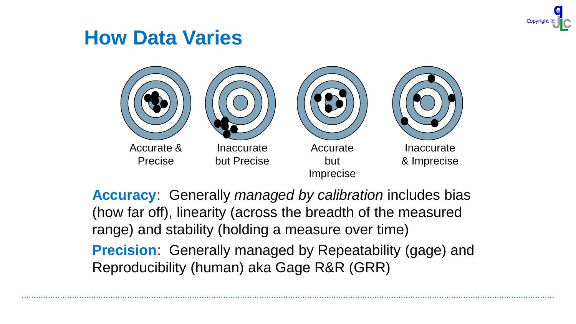

### **How Data Varies**



**Accuracy**: Generally *managed by calibration* includes bias (how far off), linearity (across the breadth of the measured range) and stability (holding a measure over time)

**Precision**: Generally managed by Repeatability (gage) and Reproducibility (human) aka Gage R&R (GRR)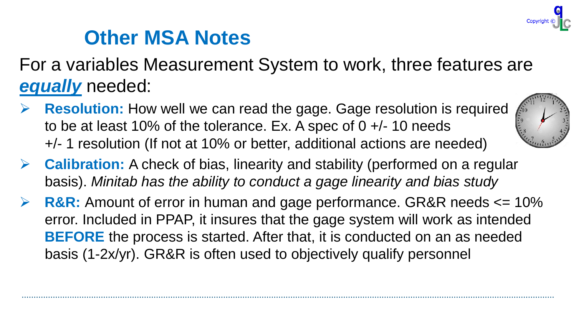

### **Other MSA Notes**

For a variables Measurement System to work, three features are *equally* needed:

**Resolution:** How well we can read the gage. Gage resolution is required to be at least 10% of the tolerance. Ex. A spec of  $0 +/10$  needs +/- 1 resolution (If not at 10% or better, additional actions are needed)



- ➢ **Calibration:** A check of bias, linearity and stability (performed on a regular basis). *Minitab has the ability to conduct a gage linearity and bias study*
- **R&R:** Amount of error in human and gage performance. GR&R needs  $\leq 10\%$ error. Included in PPAP, it insures that the gage system will work as intended **BEFORE** the process is started. After that, it is conducted on an as needed basis (1-2x/yr). GR&R is often used to objectively qualify personnel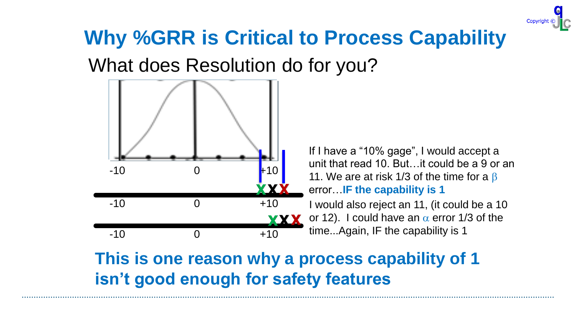

# What does Resolution do for you? **Why %GRR is Critical to Process Capability**



### **This is one reason why a process capability of 1 isn't good enough for safety features**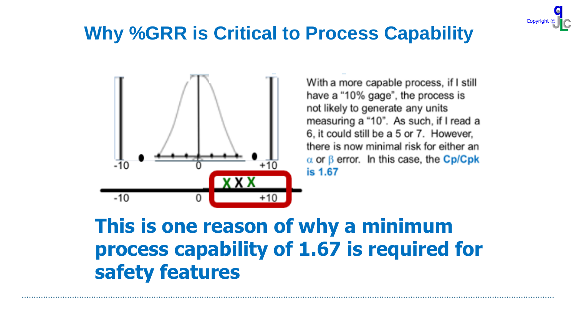

# **Resolution with Cpk Process Why %GRR is Critical to Process Capability**



With a more capable process, if I still have a "10% gage", the process is not likely to generate any units measuring a "10". As such, if I read 6, it could still be a 5 or 7. However, there is now minimal risk for either an  $\alpha$  or  $\beta$  error. In this case, the Cp/Cpk is 1.67 case, the **Cp/Cpk is 1.67**

### **This is one reason of why a minimum process capability of 1.67 is required for safety features**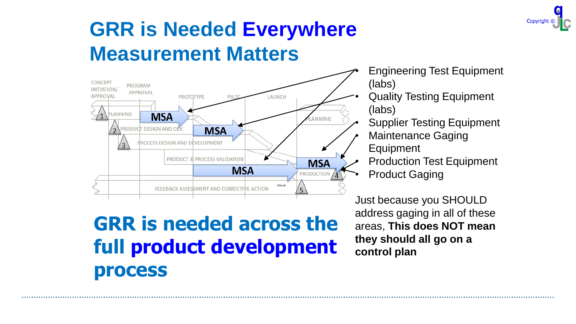

# **GRR is Needed Everywhere Measurement Matters**



### **GRR is needed across the full product development process**

- Engineering Test Equipment (labs)
- Quality Testing Equipment (labs)
	- Supplier Testing Equipment • Maintenance Gaging
- Equipment
- Production Test Equipment
- **Product Gaging**

Just because you SHOULD address gaging in all of these areas, **This does NOT mean they should all go on a control plan**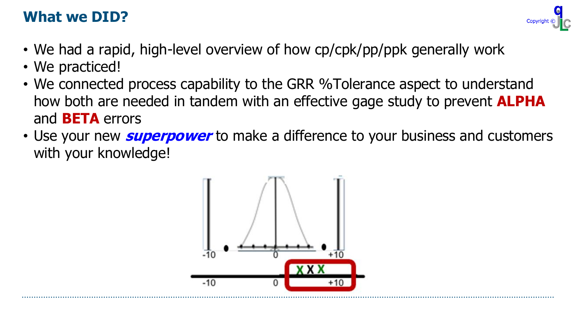#### **What we DID?**

- We had a rapid, high-level overview of how cp/cpk/pp/ppk generally work
- We practiced!
- We connected process capability to the GRR %Tolerance aspect to understand how both are needed in tandem with an effective gage study to prevent **ALPHA** and **BETA** errors
- Use your new **superpower** to make a difference to your business and customers with your knowledge!